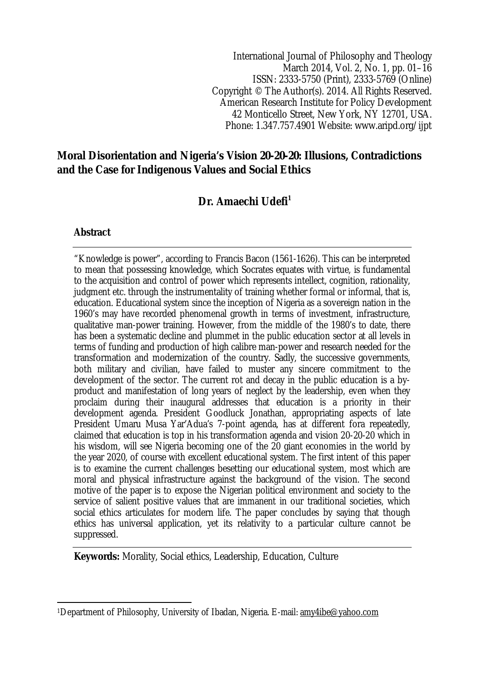International Journal of Philosophy and Theology March 2014, Vol. 2, No. 1, pp. 01–16 ISSN: 2333-5750 (Print), 2333-5769 (Online) Copyright © The Author(s). 2014. All Rights Reserved. American Research Institute for Policy Development 42 Monticello Street, New York, NY 12701, USA. Phone: 1.347.757.4901 Website: www.aripd.org/ijpt

## **Moral Disorientation and Nigeria's Vision 20-20-20: Illusions, Contradictions and the Case for Indigenous Values and Social Ethics**

Dr. Amaechi Udefi<sup>1</sup>

### **Abstract**

"Knowledge is power", according to Francis Bacon (1561-1626). This can be interpreted to mean that possessing knowledge, which Socrates equates with virtue, is fundamental to the acquisition and control of power which represents intellect, cognition, rationality, judgment etc. through the instrumentality of training whether formal or informal, that is, education. Educational system since the inception of Nigeria as a sovereign nation in the 1960's may have recorded phenomenal growth in terms of investment, infrastructure, qualitative man-power training. However, from the middle of the 1980's to date, there has been a systematic decline and plummet in the public education sector at all levels in terms of funding and production of high calibre man-power and research needed for the transformation and modernization of the country. Sadly, the successive governments, both military and civilian, have failed to muster any sincere commitment to the development of the sector. The current rot and decay in the public education is a byproduct and manifestation of long years of neglect by the leadership, even when they proclaim during their inaugural addresses that education is a priority in their development agenda. President Goodluck Jonathan, appropriating aspects of late President Umaru Musa Yar'Adua's 7-point agenda, has at different fora repeatedly, claimed that education is top in his transformation agenda and vision 20-20-20 which in his wisdom, will see Nigeria becoming one of the 20 giant economies in the world by the year 2020, of course with excellent educational system. The first intent of this paper is to examine the current challenges besetting our educational system, most which are moral and physical infrastructure against the background of the vision. The second motive of the paper is to expose the Nigerian political environment and society to the service of salient positive values that are immanent in our traditional societies, which social ethics articulates for modern life. The paper concludes by saying that though ethics has universal application, yet its relativity to a particular culture cannot be suppressed.

**Keywords:** Morality, Social ethics, Leadership, Education, Culture

 $\overline{\phantom{a}}$ <sup>1</sup>Department of Philosophy, University of Ibadan, Nigeria. E-mail: amy4ibe@yahoo.com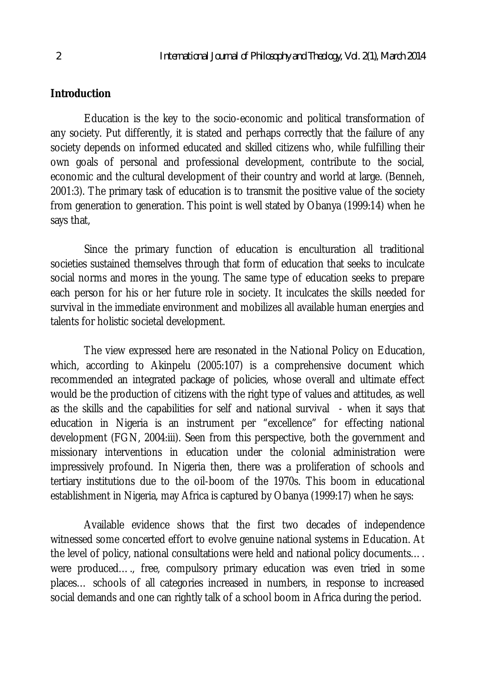### **Introduction**

Education is the key to the socio-economic and political transformation of any society. Put differently, it is stated and perhaps correctly that the failure of any society depends on informed educated and skilled citizens who, while fulfilling their own goals of personal and professional development, contribute to the social, economic and the cultural development of their country and world at large. (Benneh, 2001:3). The primary task of education is to transmit the positive value of the society from generation to generation. This point is well stated by Obanya (1999:14) when he says that,

Since the primary function of education is enculturation all traditional societies sustained themselves through that form of education that seeks to inculcate social norms and mores in the young. The same type of education seeks to prepare each person for his or her future role in society. It inculcates the skills needed for survival in the immediate environment and mobilizes all available human energies and talents for holistic societal development.

The view expressed here are resonated in the National Policy on Education, which, according to Akinpelu (2005:107) is a comprehensive document which recommended an integrated package of policies, whose overall and ultimate effect would be the production of citizens with the right type of values and attitudes, as well as the skills and the capabilities for self and national survival - when it says that education in Nigeria is an instrument per "excellence" for effecting national development (FGN, 2004:iii). Seen from this perspective, both the government and missionary interventions in education under the colonial administration were impressively profound. In Nigeria then, there was a proliferation of schools and tertiary institutions due to the oil-boom of the 1970s. This boom in educational establishment in Nigeria, may Africa is captured by Obanya (1999:17) when he says:

Available evidence shows that the first two decades of independence witnessed some concerted effort to evolve genuine national systems in Education. At the level of policy, national consultations were held and national policy documents…. were produced…., free, compulsory primary education was even tried in some places… schools of all categories increased in numbers, in response to increased social demands and one can rightly talk of a school boom in Africa during the period.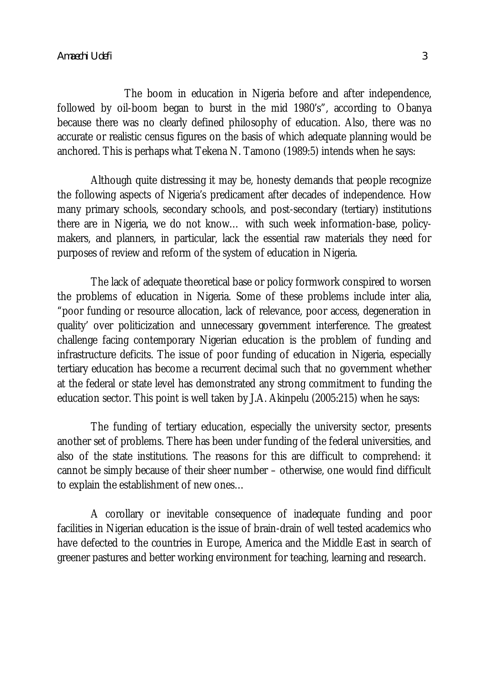The boom in education in Nigeria before and after independence, followed by oil-boom began to burst in the mid 1980's", according to Obanya because there was no clearly defined philosophy of education. Also, there was no accurate or realistic census figures on the basis of which adequate planning would be anchored. This is perhaps what Tekena N. Tamono (1989:5) intends when he says:

Although quite distressing it may be, honesty demands that people recognize the following aspects of Nigeria's predicament after decades of independence. How many primary schools, secondary schools, and post-secondary (tertiary) institutions there are in Nigeria, we do not know… with such week information-base, policymakers, and planners, in particular, lack the essential raw materials they need for purposes of review and reform of the system of education in Nigeria.

The lack of adequate theoretical base or policy formwork conspired to worsen the problems of education in Nigeria. Some of these problems include inter alia, "poor funding or resource allocation, lack of relevance, poor access, degeneration in quality' over politicization and unnecessary government interference. The greatest challenge facing contemporary Nigerian education is the problem of funding and infrastructure deficits. The issue of poor funding of education in Nigeria, especially tertiary education has become a recurrent decimal such that no government whether at the federal or state level has demonstrated any strong commitment to funding the education sector. This point is well taken by J.A. Akinpelu (2005:215) when he says:

The funding of tertiary education, especially the university sector, presents another set of problems. There has been under funding of the federal universities, and also of the state institutions. The reasons for this are difficult to comprehend: it cannot be simply because of their sheer number – otherwise, one would find difficult to explain the establishment of new ones…

A corollary or inevitable consequence of inadequate funding and poor facilities in Nigerian education is the issue of brain-drain of well tested academics who have defected to the countries in Europe, America and the Middle East in search of greener pastures and better working environment for teaching, learning and research.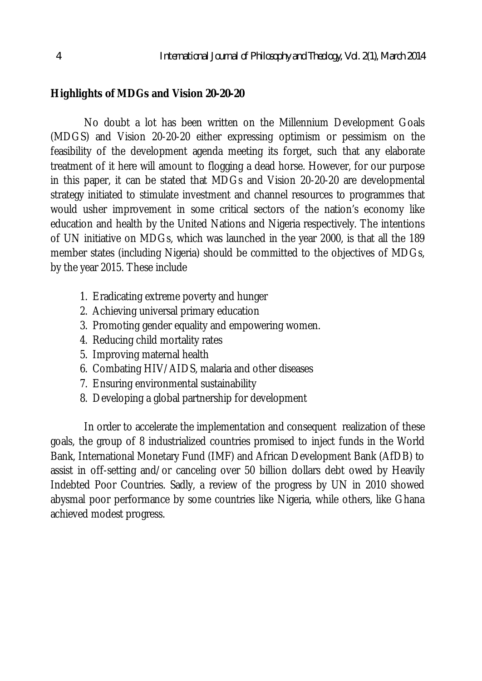## **Highlights of MDGs and Vision 20-20-20**

No doubt a lot has been written on the Millennium Development Goals (MDGS) and Vision 20-20-20 either expressing optimism or pessimism on the feasibility of the development agenda meeting its forget, such that any elaborate treatment of it here will amount to flogging a dead horse. However, for our purpose in this paper, it can be stated that MDGs and Vision 20-20-20 are developmental strategy initiated to stimulate investment and channel resources to programmes that would usher improvement in some critical sectors of the nation's economy like education and health by the United Nations and Nigeria respectively. The intentions of UN initiative on MDGs, which was launched in the year 2000, is that all the 189 member states (including Nigeria) should be committed to the objectives of MDGs, by the year 2015. These include

- 1. Eradicating extreme poverty and hunger
- 2. Achieving universal primary education
- 3. Promoting gender equality and empowering women.
- 4. Reducing child mortality rates
- 5. Improving maternal health
- 6. Combating HIV/AIDS, malaria and other diseases
- 7. Ensuring environmental sustainability
- 8. Developing a global partnership for development

In order to accelerate the implementation and consequent realization of these goals, the group of 8 industrialized countries promised to inject funds in the World Bank, International Monetary Fund (IMF) and African Development Bank (AfDB) to assist in off-setting and/or canceling over 50 billion dollars debt owed by Heavily Indebted Poor Countries. Sadly, a review of the progress by UN in 2010 showed abysmal poor performance by some countries like Nigeria, while others, like Ghana achieved modest progress.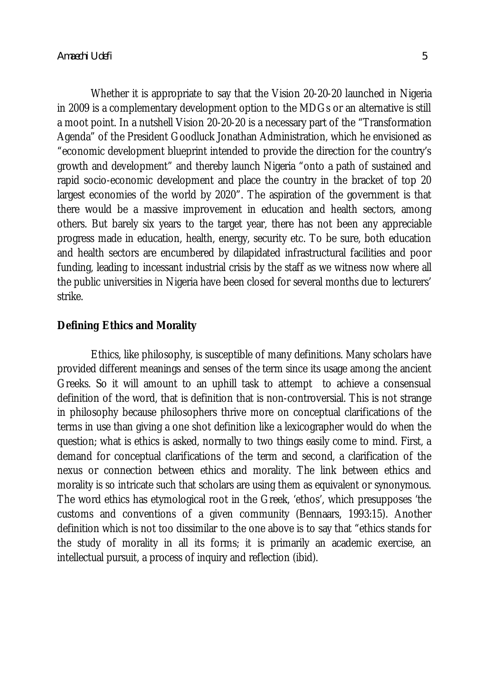Whether it is appropriate to say that the Vision 20-20-20 launched in Nigeria in 2009 is a complementary development option to the MDGs or an alternative is still a moot point. In a nutshell Vision 20-20-20 is a necessary part of the "Transformation Agenda" of the President Goodluck Jonathan Administration, which he envisioned as "economic development blueprint intended to provide the direction for the country's growth and development" and thereby launch Nigeria "onto a path of sustained and rapid socio-economic development and place the country in the bracket of top 20 largest economies of the world by 2020". The aspiration of the government is that there would be a massive improvement in education and health sectors, among others. But barely six years to the target year, there has not been any appreciable progress made in education, health, energy, security etc. To be sure, both education and health sectors are encumbered by dilapidated infrastructural facilities and poor funding, leading to incessant industrial crisis by the staff as we witness now where all the public universities in Nigeria have been closed for several months due to lecturers' strike.

#### **Defining Ethics and Morality**

Ethics, like philosophy, is susceptible of many definitions. Many scholars have provided different meanings and senses of the term since its usage among the ancient Greeks. So it will amount to an uphill task to attempt to achieve a consensual definition of the word, that is definition that is non-controversial. This is not strange in philosophy because philosophers thrive more on conceptual clarifications of the terms in use than giving a one shot definition like a lexicographer would do when the question; what is ethics is asked, normally to two things easily come to mind. First, a demand for conceptual clarifications of the term and second, a clarification of the nexus or connection between ethics and morality. The link between ethics and morality is so intricate such that scholars are using them as equivalent or synonymous. The word ethics has etymological root in the Greek, 'ethos', which presupposes 'the customs and conventions of a given community (Bennaars, 1993:15). Another definition which is not too dissimilar to the one above is to say that "ethics stands for the study of morality in all its forms; it is primarily an academic exercise, an intellectual pursuit, a process of inquiry and reflection (ibid).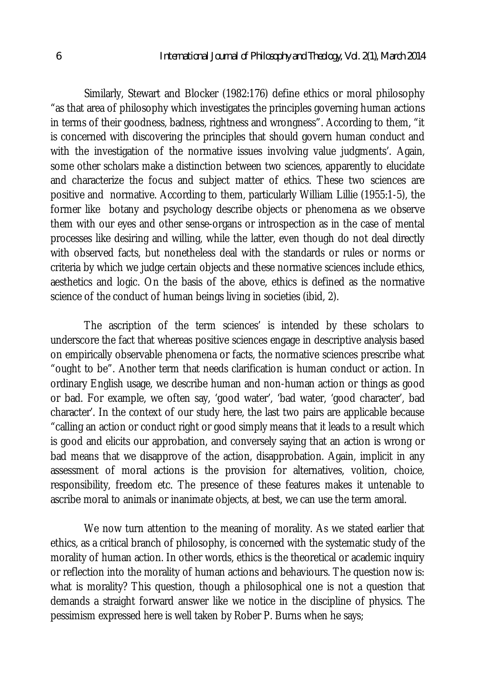Similarly, Stewart and Blocker (1982:176) define ethics or moral philosophy "as that area of philosophy which investigates the principles governing human actions in terms of their goodness, badness, rightness and wrongness". According to them, "it is concerned with discovering the principles that should govern human conduct and with the investigation of the normative issues involving value judgments'. Again, some other scholars make a distinction between two sciences, apparently to elucidate and characterize the focus and subject matter of ethics. These two sciences are positive and normative. According to them, particularly William Lillie (1955:1-5), the former like botany and psychology describe objects or phenomena as we observe them with our eyes and other sense-organs or introspection as in the case of mental processes like desiring and willing, while the latter, even though do not deal directly with observed facts, but nonetheless deal with the standards or rules or norms or criteria by which we judge certain objects and these normative sciences include ethics, aesthetics and logic. On the basis of the above, ethics is defined as the normative science of the conduct of human beings living in societies (ibid, 2).

The ascription of the term sciences' is intended by these scholars to underscore the fact that whereas positive sciences engage in descriptive analysis based on empirically observable phenomena or facts, the normative sciences prescribe what "ought to be". Another term that needs clarification is human conduct or action. In ordinary English usage, we describe human and non-human action or things as good or bad. For example, we often say, 'good water', 'bad water, 'good character', bad character'. In the context of our study here, the last two pairs are applicable because "calling an action or conduct right or good simply means that it leads to a result which is good and elicits our approbation, and conversely saying that an action is wrong or bad means that we disapprove of the action, disapprobation. Again, implicit in any assessment of moral actions is the provision for alternatives, volition, choice, responsibility, freedom etc. The presence of these features makes it untenable to ascribe moral to animals or inanimate objects, at best, we can use the term amoral.

We now turn attention to the meaning of morality. As we stated earlier that ethics, as a critical branch of philosophy, is concerned with the systematic study of the morality of human action. In other words, ethics is the theoretical or academic inquiry or reflection into the morality of human actions and behaviours. The question now is: what is morality? This question, though a philosophical one is not a question that demands a straight forward answer like we notice in the discipline of physics. The pessimism expressed here is well taken by Rober P. Burns when he says;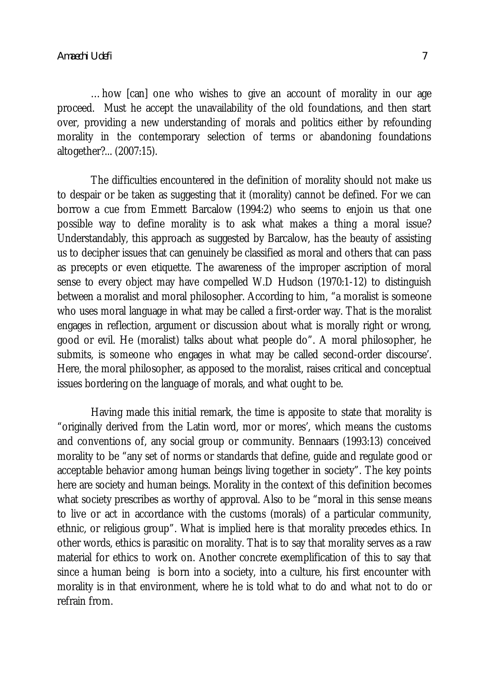…how [can] one who wishes to give an account of morality in our age proceed. Must he accept the unavailability of the old foundations, and then start over, providing a new understanding of morals and politics either by refounding morality in the contemporary selection of terms or abandoning foundations altogether?... (2007:15).

The difficulties encountered in the definition of morality should not make us to despair or be taken as suggesting that it (morality) cannot be defined. For we can borrow a cue from Emmett Barcalow (1994:2) who seems to enjoin us that one possible way to define morality is to ask what makes a thing a moral issue? Understandably, this approach as suggested by Barcalow, has the beauty of assisting us to decipher issues that can genuinely be classified as moral and others that can pass as precepts or even etiquette. The awareness of the improper ascription of moral sense to every object may have compelled W.D Hudson (1970:1-12) to distinguish between a moralist and moral philosopher. According to him, "a moralist is someone who uses moral language in what may be called a first-order way. That is the moralist engages in reflection, argument or discussion about what is morally right or wrong, good or evil. He (moralist) talks about what people do". A moral philosopher, he submits, is someone who engages in what may be called second-order discourse'. Here, the moral philosopher, as apposed to the moralist, raises critical and conceptual issues bordering on the language of morals, and what ought to be.

Having made this initial remark, the time is apposite to state that morality is "originally derived from the Latin word, mor or mores', which means the customs and conventions of, any social group or community. Bennaars (1993:13) conceived morality to be "any set of norms or standards that define, guide and regulate good or acceptable behavior among human beings living together in society". The key points here are society and human beings. Morality in the context of this definition becomes what society prescribes as worthy of approval. Also to be "moral in this sense means to live or act in accordance with the customs (morals) of a particular community, ethnic, or religious group". What is implied here is that morality precedes ethics. In other words, ethics is parasitic on morality. That is to say that morality serves as a raw material for ethics to work on. Another concrete exemplification of this to say that since a human being is born into a society, into a culture, his first encounter with morality is in that environment, where he is told what to do and what not to do or refrain from.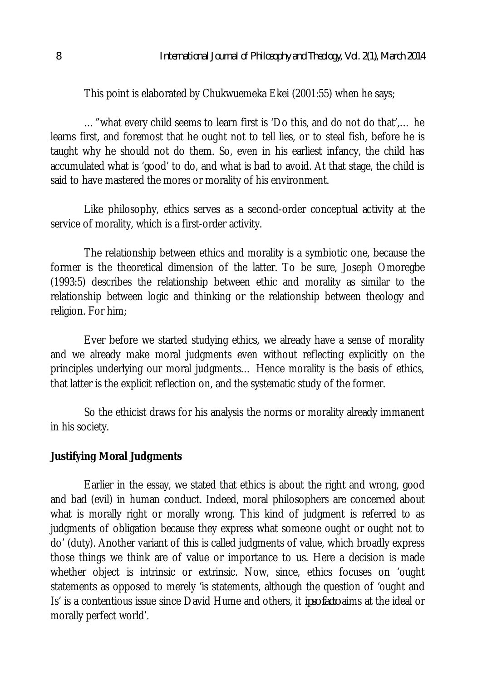This point is elaborated by Chukwuemeka Ekei (2001:55) when he says;

…"what every child seems to learn first is 'Do this, and do not do that',… he learns first, and foremost that he ought not to tell lies, or to steal fish, before he is taught why he should not do them. So, even in his earliest infancy, the child has accumulated what is 'good' to do, and what is bad to avoid. At that stage, the child is said to have mastered the mores or morality of his environment.

Like philosophy, ethics serves as a second-order conceptual activity at the service of morality, which is a first-order activity.

The relationship between ethics and morality is a symbiotic one, because the former is the theoretical dimension of the latter. To be sure, Joseph Omoregbe (1993:5) describes the relationship between ethic and morality as similar to the relationship between logic and thinking or the relationship between theology and religion. For him;

Ever before we started studying ethics, we already have a sense of morality and we already make moral judgments even without reflecting explicitly on the principles underlying our moral judgments… Hence morality is the basis of ethics, that latter is the explicit reflection on, and the systematic study of the former.

So the ethicist draws for his analysis the norms or morality already immanent in his society.

## **Justifying Moral Judgments**

Earlier in the essay, we stated that ethics is about the right and wrong, good and bad (evil) in human conduct. Indeed, moral philosophers are concerned about what is morally right or morally wrong. This kind of judgment is referred to as judgments of obligation because they express what someone ought or ought not to do' (duty). Another variant of this is called judgments of value, which broadly express those things we think are of value or importance to us. Here a decision is made whether object is intrinsic or extrinsic. Now, since, ethics focuses on 'ought statements as opposed to merely 'is statements, although the question of 'ought and Is' is a contentious issue since David Hume and others, it *ipso facto* aims at the ideal or morally perfect world'.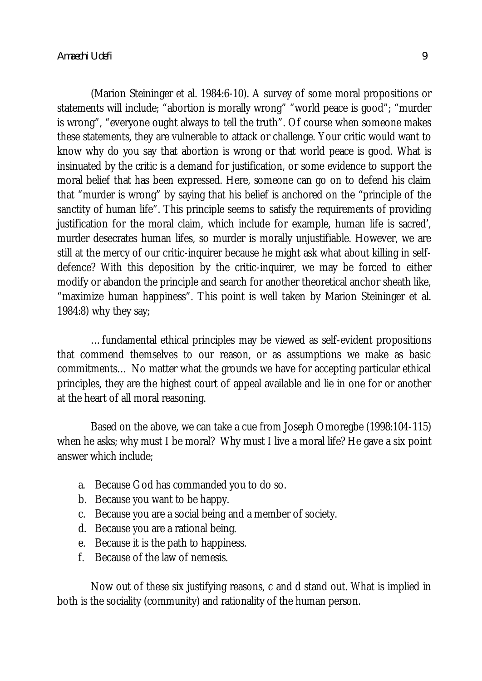(Marion Steininger et al. 1984:6-10). A survey of some moral propositions or statements will include; "abortion is morally wrong" "world peace is good"; "murder is wrong", "everyone ought always to tell the truth". Of course when someone makes these statements, they are vulnerable to attack or challenge. Your critic would want to know why do you say that abortion is wrong or that world peace is good. What is insinuated by the critic is a demand for justification, or some evidence to support the moral belief that has been expressed. Here, someone can go on to defend his claim that "murder is wrong" by saying that his belief is anchored on the "principle of the sanctity of human life". This principle seems to satisfy the requirements of providing justification for the moral claim, which include for example, human life is sacred', murder desecrates human lifes, so murder is morally unjustifiable. However, we are still at the mercy of our critic-inquirer because he might ask what about killing in selfdefence? With this deposition by the critic-inquirer, we may be forced to either modify or abandon the principle and search for another theoretical anchor sheath like, "maximize human happiness". This point is well taken by Marion Steininger et al. 1984:8) why they say;

…fundamental ethical principles may be viewed as self-evident propositions that commend themselves to our reason, or as assumptions we make as basic commitments… No matter what the grounds we have for accepting particular ethical principles, they are the highest court of appeal available and lie in one for or another at the heart of all moral reasoning.

Based on the above, we can take a cue from Joseph Omoregbe (1998:104-115) when he asks; why must I be moral? Why must I live a moral life? He gave a six point answer which include;

- a. Because God has commanded you to do so.
- b. Because you want to be happy.
- c. Because you are a social being and a member of society.
- d. Because you are a rational being.
- e. Because it is the path to happiness.
- f. Because of the law of nemesis.

Now out of these six justifying reasons, c and d stand out. What is implied in both is the sociality (community) and rationality of the human person.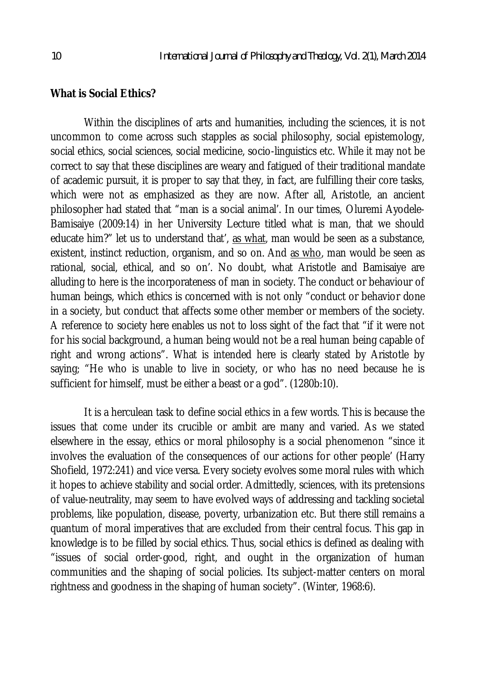#### **What is Social Ethics?**

Within the disciplines of arts and humanities, including the sciences, it is not uncommon to come across such stapples as social philosophy, social epistemology, social ethics, social sciences, social medicine, socio-linguistics etc. While it may not be correct to say that these disciplines are weary and fatigued of their traditional mandate of academic pursuit, it is proper to say that they, in fact, are fulfilling their core tasks, which were not as emphasized as they are now. After all, Aristotle, an ancient philosopher had stated that "man is a social animal'. In our times, Oluremi Ayodele-Bamisaiye (2009:14) in her University Lecture titled what is man, that we should educate him?" let us to understand that', as what, man would be seen as a substance, existent, instinct reduction, organism, and so on. And as who, man would be seen as rational, social, ethical, and so on'. No doubt, what Aristotle and Bamisaiye are alluding to here is the incorporateness of man in society. The conduct or behaviour of human beings, which ethics is concerned with is not only "conduct or behavior done in a society, but conduct that affects some other member or members of the society. A reference to society here enables us not to loss sight of the fact that "if it were not for his social background, a human being would not be a real human being capable of right and wrong actions". What is intended here is clearly stated by Aristotle by saying; "He who is unable to live in society, or who has no need because he is sufficient for himself, must be either a beast or a god". (1280b:10).

It is a herculean task to define social ethics in a few words. This is because the issues that come under its crucible or ambit are many and varied. As we stated elsewhere in the essay, ethics or moral philosophy is a social phenomenon "since it involves the evaluation of the consequences of our actions for other people' (Harry Shofield, 1972:241) and vice versa. Every society evolves some moral rules with which it hopes to achieve stability and social order. Admittedly, sciences, with its pretensions of value-neutrality, may seem to have evolved ways of addressing and tackling societal problems, like population, disease, poverty, urbanization etc. But there still remains a quantum of moral imperatives that are excluded from their central focus. This gap in knowledge is to be filled by social ethics. Thus, social ethics is defined as dealing with "issues of social order-good, right, and ought in the organization of human communities and the shaping of social policies. Its subject-matter centers on moral rightness and goodness in the shaping of human society". (Winter, 1968:6).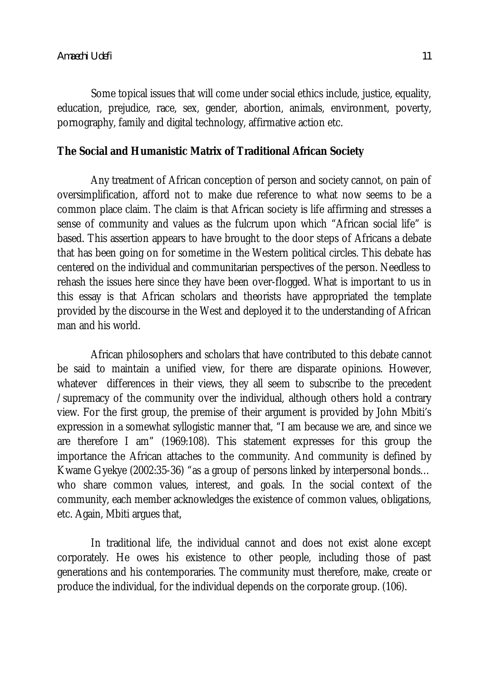Some topical issues that will come under social ethics include, justice, equality, education, prejudice, race, sex, gender, abortion, animals, environment, poverty, pornography, family and digital technology, affirmative action etc.

### **The Social and Humanistic Matrix of Traditional African Society**

Any treatment of African conception of person and society cannot, on pain of oversimplification, afford not to make due reference to what now seems to be a common place claim. The claim is that African society is life affirming and stresses a sense of community and values as the fulcrum upon which "African social life" is based. This assertion appears to have brought to the door steps of Africans a debate that has been going on for sometime in the Western political circles. This debate has centered on the individual and communitarian perspectives of the person. Needless to rehash the issues here since they have been over-flogged. What is important to us in this essay is that African scholars and theorists have appropriated the template provided by the discourse in the West and deployed it to the understanding of African man and his world.

African philosophers and scholars that have contributed to this debate cannot be said to maintain a unified view, for there are disparate opinions. However, whatever differences in their views, they all seem to subscribe to the precedent /supremacy of the community over the individual, although others hold a contrary view. For the first group, the premise of their argument is provided by John Mbiti's expression in a somewhat syllogistic manner that, "I am because we are, and since we are therefore I am" (1969:108). This statement expresses for this group the importance the African attaches to the community. And community is defined by Kwame Gyekye (2002:35-36) "as a group of persons linked by interpersonal bonds… who share common values, interest, and goals. In the social context of the community, each member acknowledges the existence of common values, obligations, etc. Again, Mbiti argues that,

In traditional life, the individual cannot and does not exist alone except corporately. He owes his existence to other people, including those of past generations and his contemporaries. The community must therefore, make, create or produce the individual, for the individual depends on the corporate group. (106).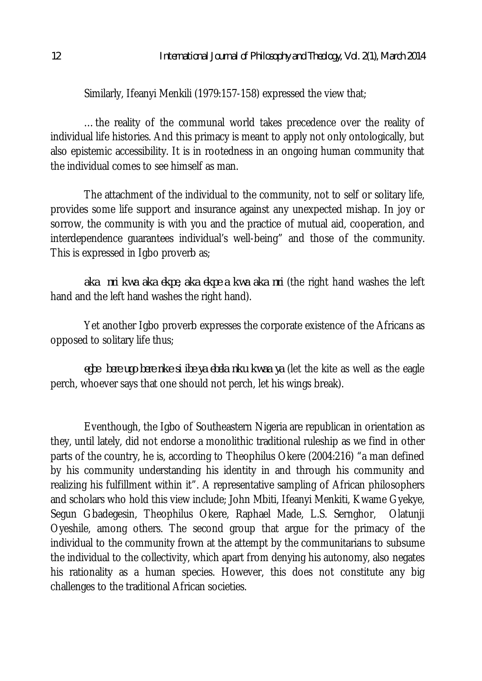Similarly, Ifeanyi Menkili (1979:157-158) expressed the view that;

…the reality of the communal world takes precedence over the reality of individual life histories. And this primacy is meant to apply not only ontologically, but also epistemic accessibility. It is in rootedness in an ongoing human community that the individual comes to see himself as man.

The attachment of the individual to the community, not to self or solitary life, provides some life support and insurance against any unexpected mishap. In joy or sorrow, the community is with you and the practice of mutual aid, cooperation, and interdependence guarantees individual's well-being" and those of the community. This is expressed in Igbo proverb as;

*aka nri kwa aka ekpe, aka ekpe a kwa aka nri* (the right hand washes the left hand and the left hand washes the right hand).

Yet another Igbo proverb expresses the corporate existence of the Africans as opposed to solitary life thus;

*egbe bere ugo bere nke si ibe ya ebela nku kwaa ya* (let the kite as well as the eagle perch, whoever says that one should not perch, let his wings break).

Eventhough, the Igbo of Southeastern Nigeria are republican in orientation as they, until lately, did not endorse a monolithic traditional ruleship as we find in other parts of the country, he is, according to Theophilus Okere (2004:216) "a man defined by his community understanding his identity in and through his community and realizing his fulfillment within it". A representative sampling of African philosophers and scholars who hold this view include; John Mbiti, Ifeanyi Menkiti, Kwame Gyekye, Segun Gbadegesin, Theophilus Okere, Raphael Made, L.S. Sernghor, Olatunji Oyeshile, among others. The second group that argue for the primacy of the individual to the community frown at the attempt by the communitarians to subsume the individual to the collectivity, which apart from denying his autonomy, also negates his rationality as a human species. However, this does not constitute any big challenges to the traditional African societies.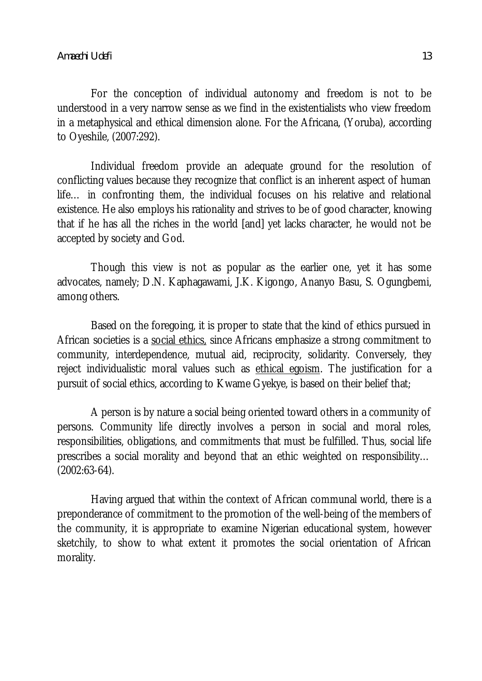For the conception of individual autonomy and freedom is not to be understood in a very narrow sense as we find in the existentialists who view freedom in a metaphysical and ethical dimension alone. For the Africana, (Yoruba), according to Oyeshile, (2007:292).

Individual freedom provide an adequate ground for the resolution of conflicting values because they recognize that conflict is an inherent aspect of human life… in confronting them, the individual focuses on his relative and relational existence. He also employs his rationality and strives to be of good character, knowing that if he has all the riches in the world [and] yet lacks character, he would not be accepted by society and God.

Though this view is not as popular as the earlier one, yet it has some advocates, namely; D.N. Kaphagawami, J.K. Kigongo, Ananyo Basu, S. Ogungbemi, among others.

Based on the foregoing, it is proper to state that the kind of ethics pursued in African societies is a social ethics, since Africans emphasize a strong commitment to community, interdependence, mutual aid, reciprocity, solidarity. Conversely, they reject individualistic moral values such as ethical egoism. The justification for a pursuit of social ethics, according to Kwame Gyekye, is based on their belief that;

A person is by nature a social being oriented toward others in a community of persons. Community life directly involves a person in social and moral roles, responsibilities, obligations, and commitments that must be fulfilled. Thus, social life prescribes a social morality and beyond that an ethic weighted on responsibility… (2002:63-64).

Having argued that within the context of African communal world, there is a preponderance of commitment to the promotion of the well-being of the members of the community, it is appropriate to examine Nigerian educational system, however sketchily, to show to what extent it promotes the social orientation of African morality.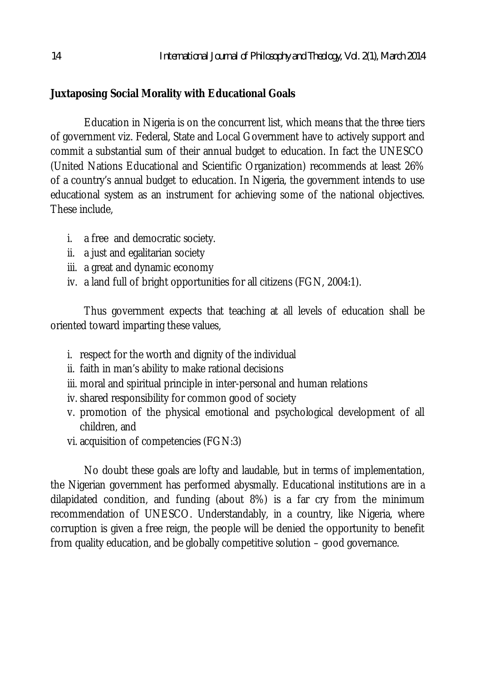# **Juxtaposing Social Morality with Educational Goals**

Education in Nigeria is on the concurrent list, which means that the three tiers of government viz. Federal, State and Local Government have to actively support and commit a substantial sum of their annual budget to education. In fact the UNESCO (United Nations Educational and Scientific Organization) recommends at least 26% of a country's annual budget to education. In Nigeria, the government intends to use educational system as an instrument for achieving some of the national objectives. These include,

- i. a free and democratic society.
- ii. a just and egalitarian society
- iii. a great and dynamic economy
- iv. a land full of bright opportunities for all citizens (FGN, 2004:1).

Thus government expects that teaching at all levels of education shall be oriented toward imparting these values,

- i. respect for the worth and dignity of the individual
- ii. faith in man's ability to make rational decisions
- iii. moral and spiritual principle in inter-personal and human relations
- iv. shared responsibility for common good of society
- v. promotion of the physical emotional and psychological development of all children, and
- vi. acquisition of competencies (FGN:3)

No doubt these goals are lofty and laudable, but in terms of implementation, the Nigerian government has performed abysmally. Educational institutions are in a dilapidated condition, and funding (about 8%) is a far cry from the minimum recommendation of UNESCO. Understandably, in a country, like Nigeria, where corruption is given a free reign, the people will be denied the opportunity to benefit from quality education, and be globally competitive solution – good governance.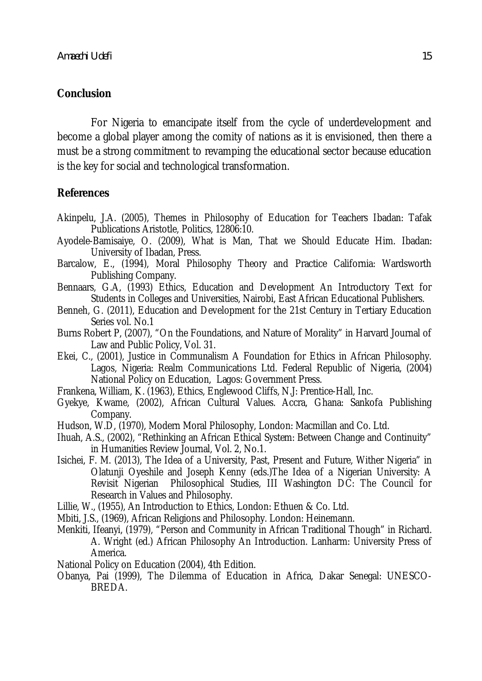# **Conclusion**

For Nigeria to emancipate itself from the cycle of underdevelopment and become a global player among the comity of nations as it is envisioned, then there a must be a strong commitment to revamping the educational sector because education is the key for social and technological transformation.

# **References**

- Akinpelu, J.A. (2005), Themes in Philosophy of Education for Teachers Ibadan: Tafak Publications Aristotle, Politics, 12806:10.
- Ayodele-Bamisaiye, O. (2009), What is Man, That we Should Educate Him. Ibadan: University of Ibadan, Press.
- Barcalow, E., (1994), Moral Philosophy Theory and Practice California: Wardsworth Publishing Company.
- Bennaars, G.A, (1993) Ethics, Education and Development An Introductory Text for Students in Colleges and Universities, Nairobi, East African Educational Publishers.
- Benneh, G. (2011), Education and Development for the 21st Century in Tertiary Education Series vol. No.1
- Burns Robert P, (2007), "On the Foundations, and Nature of Morality" in Harvard Journal of Law and Public Policy, Vol. 31.
- Ekei, C., (2001), Justice in Communalism A Foundation for Ethics in African Philosophy. Lagos, Nigeria: Realm Communications Ltd. Federal Republic of Nigeria, (2004) National Policy on Education, Lagos: Government Press.
- Frankena, William, K. (1963), Ethics, Englewood Cliffs, N.J: Prentice-Hall, Inc.
- Gyekye, Kwame, (2002), African Cultural Values. Accra, Ghana: Sankofa Publishing Company.
- Hudson, W.D, (1970), Modern Moral Philosophy, London: Macmillan and Co. Ltd.
- Ihuah, A.S., (2002), "Rethinking an African Ethical System: Between Change and Continuity" in Humanities Review Journal, Vol. 2, No.1.
- Isichei, F. M. (2013), The Idea of a University, Past, Present and Future, Wither Nigeria" in Olatunji Oyeshile and Joseph Kenny (eds.)The Idea of a Nigerian University: A Revisit Nigerian Philosophical Studies, III Washington DC: The Council for Research in Values and Philosophy.
- Lillie, W., (1955), An Introduction to Ethics, London: Ethuen & Co. Ltd.
- Mbiti, J.S., (1969), African Religions and Philosophy. London: Heinemann.
- Menkiti, Ifeanyi, (1979), "Person and Community in African Traditional Though" in Richard. A. Wright (ed.) African Philosophy An Introduction. Lanharm: University Press of America.
- National Policy on Education (2004), 4th Edition.
- Obanya, Pai (1999), The Dilemma of Education in Africa, Dakar Senegal: UNESCO-BREDA.